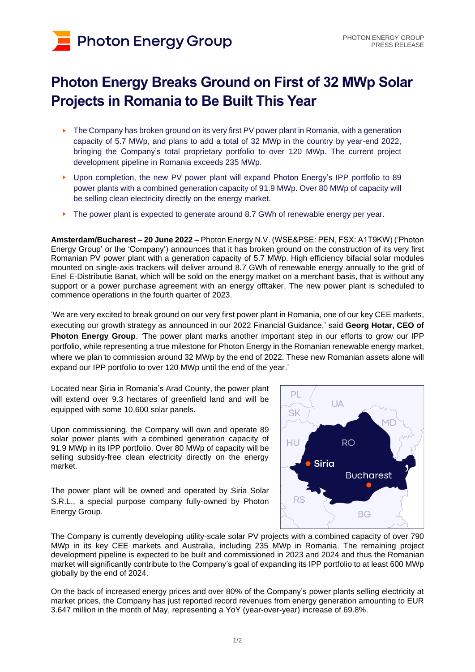# **Photon Energy Group**

## **Photon Energy Breaks Ground on First of 32 MWp Solar Projects in Romania to Be Built This Year**

- ► The Company has broken ground on its very first PV power plant in Romania, with a generation capacity of 5.7 MWp, and plans to add a total of 32 MWp in the country by year-end 2022, bringing the Company's total proprietary portfolio to over 120 MWp. The current project development pipeline in Romania exceeds 235 MWp.
- Upon completion, the new PV power plant will expand Photon Energy's IPP portfolio to 89 power plants with a combined generation capacity of 91.9 MWp. Over 80 MWp of capacity will be selling clean electricity directly on the energy market.
- The power plant is expected to generate around 8.7 GWh of renewable energy per year.

**Amsterdam/Bucharest – 20 June 2022 –** Photon Energy N.V. (WSE&PSE: PEN, FSX: A1T9KW) ('Photon Energy Group' or the 'Company') announces that it has broken ground on the construction of its very first Romanian PV power plant with a generation capacity of 5.7 MWp. High efficiency bifacial solar modules mounted on single-axis trackers will deliver around 8.7 GWh of renewable energy annually to the grid of Enel E-Distributie Banat, which will be sold on the energy market on a merchant basis, that is without any support or a power purchase agreement with an energy offtaker. The new power plant is scheduled to commence operations in the fourth quarter of 2023.

'We are very excited to break ground on our very first power plant in Romania, one of our key CEE markets, executing our growth strategy as announced in our 2022 Financial Guidance,' said **Georg Hotar, CEO of Photon Energy Group**. 'The power plant marks another important step in our efforts to grow our IPP portfolio, while representing a true milestone for Photon Energy in the Romanian renewable energy market, where we plan to commission around 32 MWp by the end of 2022. These new Romanian assets alone will expand our IPP portfolio to over 120 MWp until the end of the year.'

Located near Șiria in Romania's Arad County, the power plant will extend over 9.3 hectares of greenfield land and will be equipped with some 10,600 solar panels.

Upon commissioning, the Company will own and operate 89 solar power plants with a combined generation capacity of 91.9 MWp in its IPP portfolio. Over 80 MWp of capacity will be selling subsidy-free clean electricity directly on the energy market.

The power plant will be owned and operated by Siria Solar S.R.L., a special purpose company fully-owned by Photon Energy Group.



The Company is currently developing utility-scale solar PV projects with a combined capacity of over 790 MWp in its key CEE markets and Australia, including 235 MWp in Romania. The remaining project development pipeline is expected to be built and commissioned in 2023 and 2024 and thus the Romanian market will significantly contribute to the Company's goal of expanding its IPP portfolio to at least 600 MWp globally by the end of 2024.

On the back of increased energy prices and over 80% of the Company's power plants selling electricity at market prices, the Company has just reported record revenues from energy generation amounting to EUR 3.647 million in the month of May, representing a YoY (year-over-year) increase of 69.8%.